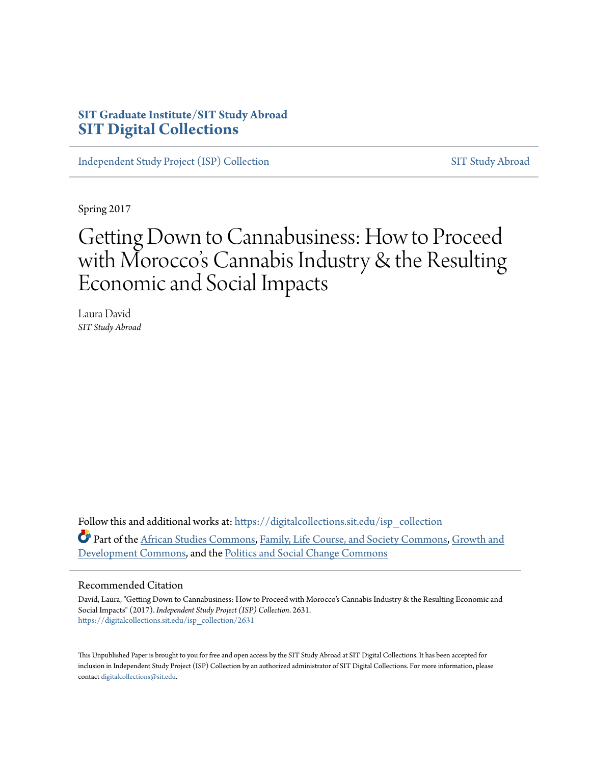## **SIT Graduate Institute/SIT Study Abroad [SIT Digital Collections](https://digitalcollections.sit.edu?utm_source=digitalcollections.sit.edu%2Fisp_collection%2F2631&utm_medium=PDF&utm_campaign=PDFCoverPages)**

[Independent Study Project \(ISP\) Collection](https://digitalcollections.sit.edu/isp_collection?utm_source=digitalcollections.sit.edu%2Fisp_collection%2F2631&utm_medium=PDF&utm_campaign=PDFCoverPages) [SIT Study Abroad](https://digitalcollections.sit.edu/study_abroad?utm_source=digitalcollections.sit.edu%2Fisp_collection%2F2631&utm_medium=PDF&utm_campaign=PDFCoverPages)

Spring 2017

# Getting Down to Cannabusiness: How to Proceed with Morocco 's Cannabis Industry & the Resulting Economic and Social Impacts

Laura David *SIT Study Abroad*

Follow this and additional works at: [https://digitalcollections.sit.edu/isp\\_collection](https://digitalcollections.sit.edu/isp_collection?utm_source=digitalcollections.sit.edu%2Fisp_collection%2F2631&utm_medium=PDF&utm_campaign=PDFCoverPages) Part of the [African Studies Commons](http://network.bepress.com/hgg/discipline/1043?utm_source=digitalcollections.sit.edu%2Fisp_collection%2F2631&utm_medium=PDF&utm_campaign=PDFCoverPages), [Family, Life Course, and Society Commons](http://network.bepress.com/hgg/discipline/419?utm_source=digitalcollections.sit.edu%2Fisp_collection%2F2631&utm_medium=PDF&utm_campaign=PDFCoverPages), [Growth and](http://network.bepress.com/hgg/discipline/346?utm_source=digitalcollections.sit.edu%2Fisp_collection%2F2631&utm_medium=PDF&utm_campaign=PDFCoverPages) [Development Commons,](http://network.bepress.com/hgg/discipline/346?utm_source=digitalcollections.sit.edu%2Fisp_collection%2F2631&utm_medium=PDF&utm_campaign=PDFCoverPages) and the [Politics and Social Change Commons](http://network.bepress.com/hgg/discipline/425?utm_source=digitalcollections.sit.edu%2Fisp_collection%2F2631&utm_medium=PDF&utm_campaign=PDFCoverPages)

#### Recommended Citation

David, Laura, "Getting Down to Cannabusiness: How to Proceed with Morocco's Cannabis Industry & the Resulting Economic and Social Impacts" (2017). *Independent Study Project (ISP) Collection*. 2631. [https://digitalcollections.sit.edu/isp\\_collection/2631](https://digitalcollections.sit.edu/isp_collection/2631?utm_source=digitalcollections.sit.edu%2Fisp_collection%2F2631&utm_medium=PDF&utm_campaign=PDFCoverPages)

This Unpublished Paper is brought to you for free and open access by the SIT Study Abroad at SIT Digital Collections. It has been accepted for inclusion in Independent Study Project (ISP) Collection by an authorized administrator of SIT Digital Collections. For more information, please contact [digitalcollections@sit.edu](mailto:digitalcollections@sit.edu).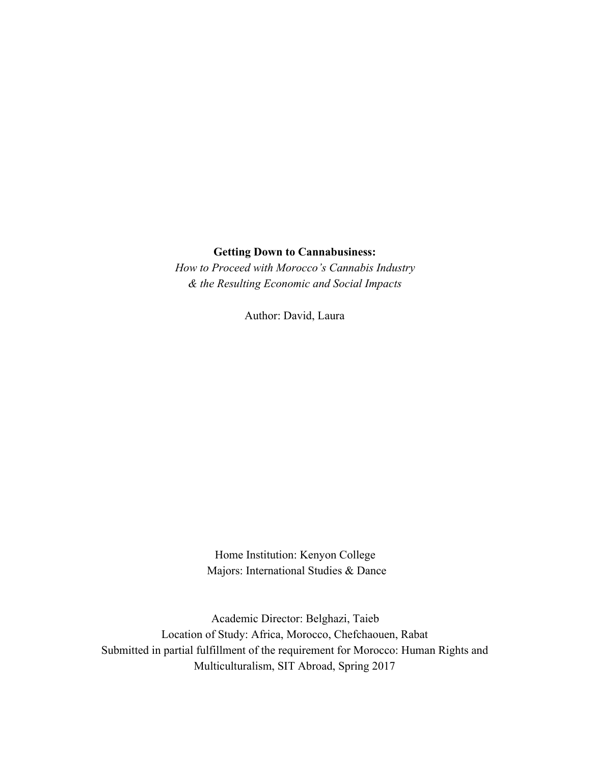### **Getting Down to Cannabusiness:**

*How to Proceed with Morocco's Cannabis Industry & the Resulting Economic and Social Impacts*

Author: David, Laura

Home Institution: Kenyon College Majors: International Studies & Dance

Academic Director: Belghazi, Taieb Location of Study: Africa, Morocco, Chefchaouen, Rabat Submitted in partial fulfillment of the requirement for Morocco: Human Rights and Multiculturalism, SIT Abroad, Spring 2017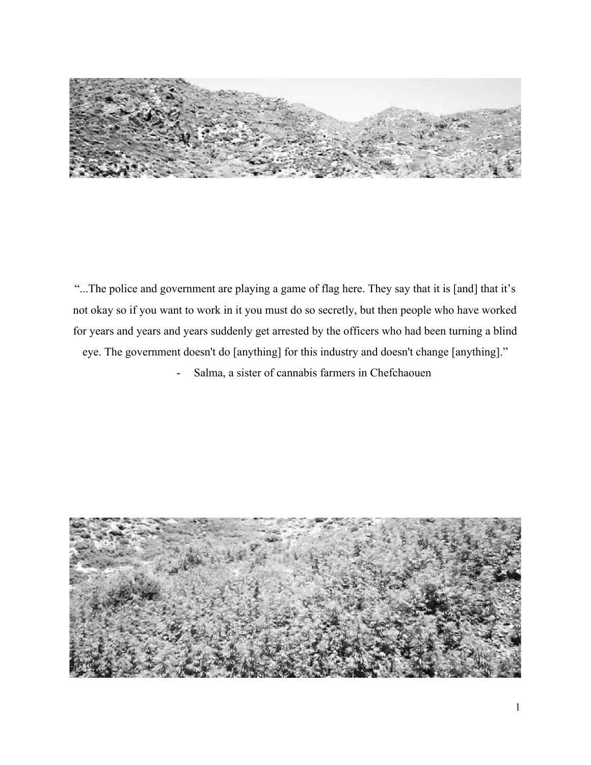

"...The police and government are playing a game of flag here. They say that it is [and] that it's not okay so if you want to work in it you must do so secretly, but then people who have worked for years and years and years suddenly get arrested by the officers who had been turning a blind eye. The government doesn't do [anything] for this industry and doesn't change [anything]."

Salma, a sister of cannabis farmers in Chefchaouen

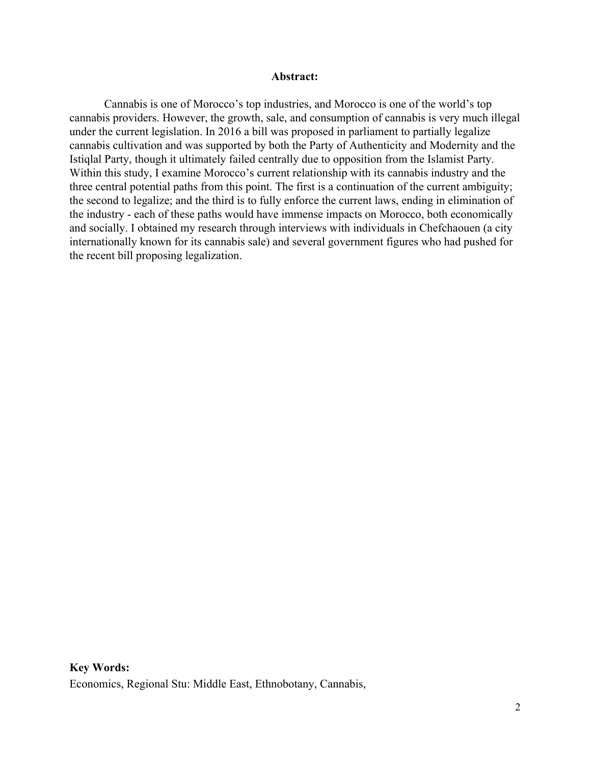#### **Abstract:**

Cannabis is one of Morocco's top industries, and Morocco is one of the world's top cannabis providers. However, the growth, sale, and consumption of cannabis is very much illegal under the current legislation. In 2016 a bill was proposed in parliament to partially legalize cannabis cultivation and was supported by both the Party of Authenticity and Modernity and the Istiqlal Party, though it ultimately failed centrally due to opposition from the Islamist Party. Within this study, I examine Morocco's current relationship with its cannabis industry and the three central potential paths from this point. The first is a continuation of the current ambiguity; the second to legalize; and the third is to fully enforce the current laws, ending in elimination of the industry - each of these paths would have immense impacts on Morocco, both economically and socially. I obtained my research through interviews with individuals in Chefchaouen (a city internationally known for its cannabis sale) and several government figures who had pushed for the recent bill proposing legalization.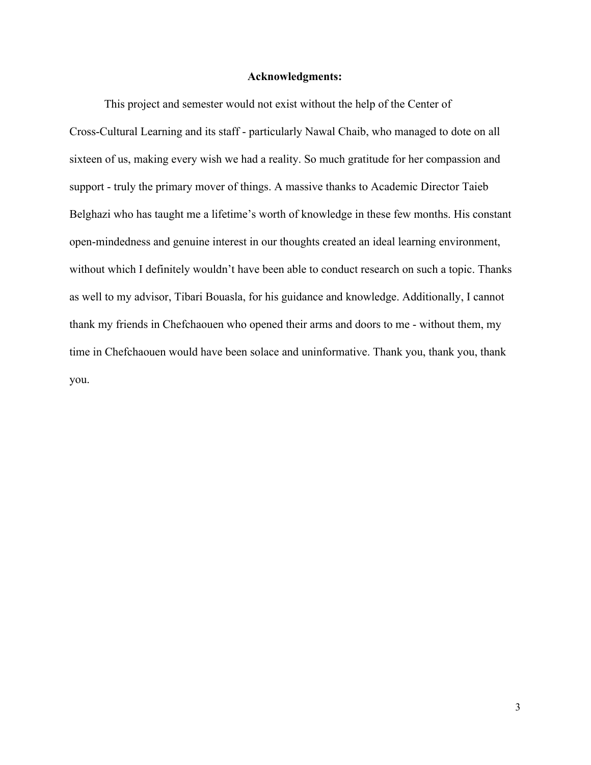#### **Acknowledgments:**

This project and semester would not exist without the help of the Center of Cross-Cultural Learning and its staff - particularly Nawal Chaib, who managed to dote on all sixteen of us, making every wish we had a reality. So much gratitude for her compassion and support - truly the primary mover of things. A massive thanks to Academic Director Taieb Belghazi who has taught me a lifetime's worth of knowledge in these few months. His constant open-mindedness and genuine interest in our thoughts created an ideal learning environment, without which I definitely wouldn't have been able to conduct research on such a topic. Thanks as well to my advisor, Tibari Bouasla, for his guidance and knowledge. Additionally, I cannot thank my friends in Chefchaouen who opened their arms and doors to me - without them, my time in Chefchaouen would have been solace and uninformative. Thank you, thank you, thank you.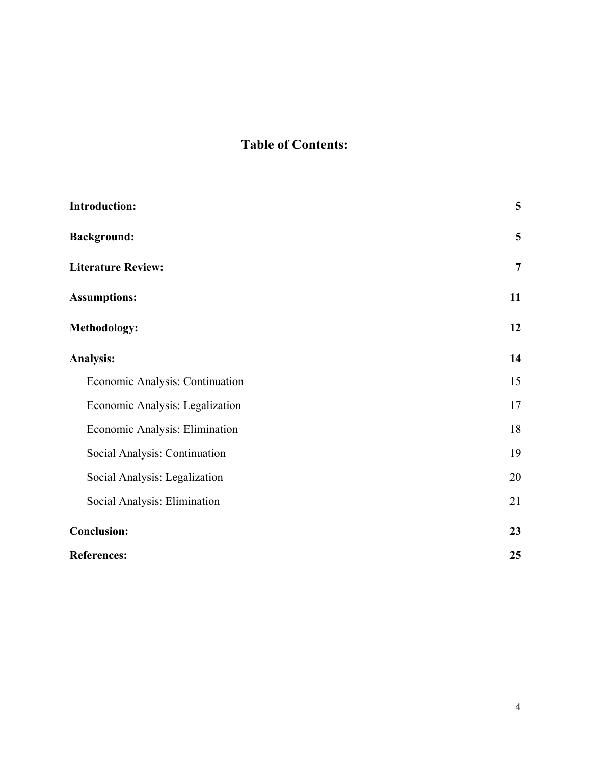# **Table of Contents:**

| <b>Introduction:</b>            | 5              |
|---------------------------------|----------------|
| <b>Background:</b>              | 5              |
| <b>Literature Review:</b>       | $\overline{7}$ |
| <b>Assumptions:</b>             | 11             |
| <b>Methodology:</b>             | 12             |
| <b>Analysis:</b>                | 14             |
| Economic Analysis: Continuation | 15             |
| Economic Analysis: Legalization | 17             |
| Economic Analysis: Elimination  | 18             |
| Social Analysis: Continuation   | 19             |
| Social Analysis: Legalization   | 20             |
| Social Analysis: Elimination    | 21             |
| <b>Conclusion:</b>              | 23             |
| <b>References:</b>              | 25             |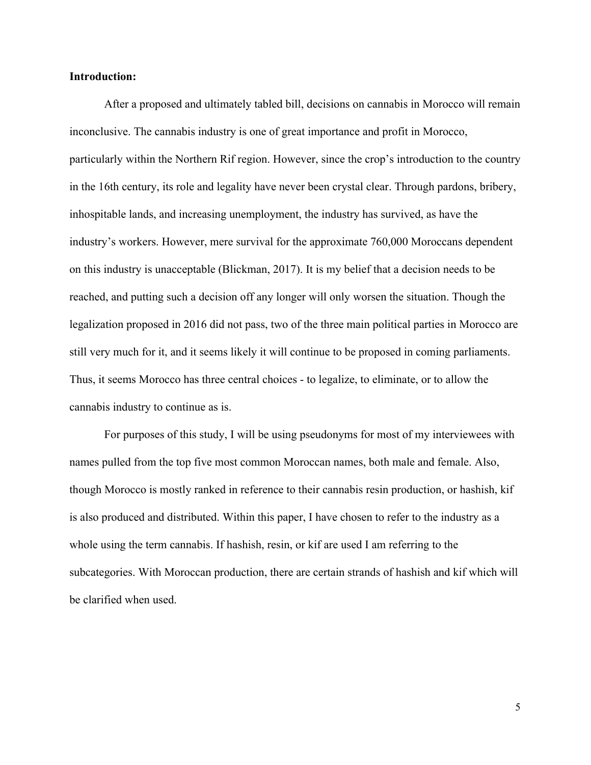#### <span id="page-6-0"></span>**Introduction:**

After a proposed and ultimately tabled bill, decisions on cannabis in Morocco will remain inconclusive. The cannabis industry is one of great importance and profit in Morocco, particularly within the Northern Rif region. However, since the crop's introduction to the country in the 16th century, its role and legality have never been crystal clear. Through pardons, bribery, inhospitable lands, and increasing unemployment, the industry has survived, as have the industry's workers. However, mere survival for the approximate 760,000 Moroccans dependent on this industry is unacceptable (Blickman, 2017). It is my belief that a decision needs to be reached, and putting such a decision off any longer will only worsen the situation. Though the legalization proposed in 2016 did not pass, two of the three main political parties in Morocco are still very much for it, and it seems likely it will continue to be proposed in coming parliaments. Thus, it seems Morocco has three central choices - to legalize, to eliminate, or to allow the cannabis industry to continue as is.

For purposes of this study, I will be using pseudonyms for most of my interviewees with names pulled from the top five most common Moroccan names, both male and female. Also, though Morocco is mostly ranked in reference to their cannabis resin production, or hashish, kif is also produced and distributed. Within this paper, I have chosen to refer to the industry as a whole using the term cannabis. If hashish, resin, or kif are used I am referring to the subcategories. With Moroccan production, there are certain strands of hashish and kif which will be clarified when used.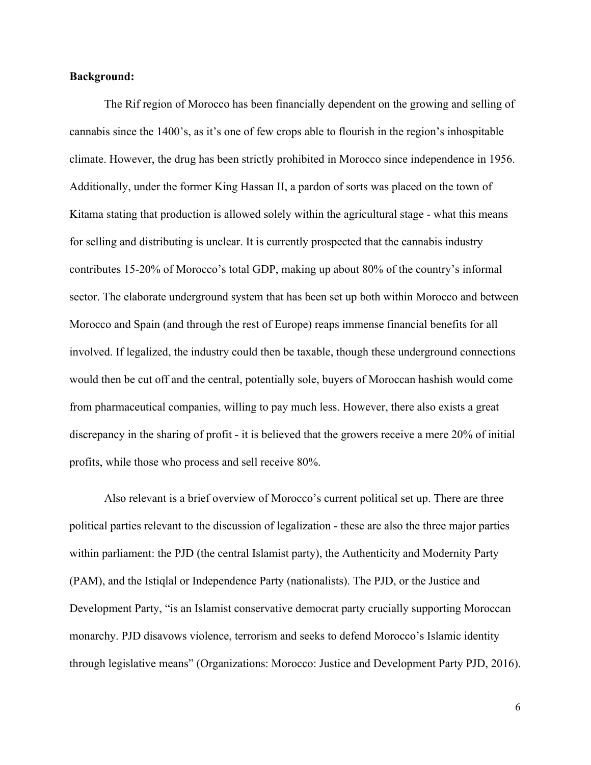#### <span id="page-7-0"></span>**Background:**

The Rif region of Morocco has been financially dependent on the growing and selling of cannabis since the 1400's, as it's one of few crops able to flourish in the region's inhospitable climate. However, the drug has been strictly prohibited in Morocco since independence in 1956. Additionally, under the former King Hassan II, a pardon of sorts was placed on the town of Kitama stating that production is allowed solely within the agricultural stage - what this means for selling and distributing is unclear. It is currently prospected that the cannabis industry contributes 15-20% of Morocco's total GDP, making up about 80% of the country's informal sector. The elaborate underground system that has been set up both within Morocco and between Morocco and Spain (and through the rest of Europe) reaps immense financial benefits for all involved. If legalized, the industry could then be taxable, though these underground connections would then be cut off and the central, potentially sole, buyers of Moroccan hashish would come from pharmaceutical companies, willing to pay much less. However, there also exists a great discrepancy in the sharing of profit - it is believed that the growers receive a mere 20% of initial profits, while those who process and sell receive 80%.

Also relevant is a brief overview of Morocco's current political set up. There are three political parties relevant to the discussion of legalization - these are also the three major parties within parliament: the PJD (the central Islamist party), the Authenticity and Modernity Party (PAM), and the Istiqlal or Independence Party (nationalists). The PJD, or the Justice and Development Party, "is an Islamist conservative democrat party crucially supporting Moroccan monarchy. PJD disavows violence, terrorism and seeks to defend Morocco's Islamic identity through legislative means" (Organizations: Morocco: Justice and Development Party PJD, 2016).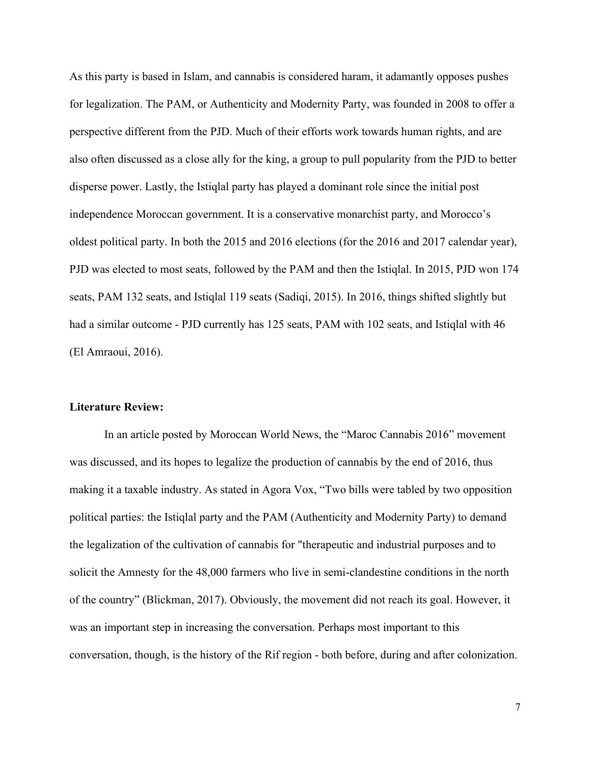As this party is based in Islam, and cannabis is considered haram, it adamantly opposes pushes for legalization. The PAM, or Authenticity and Modernity Party, was founded in 2008 to offer a perspective different from the PJD. Much of their efforts work towards human rights, and are also often discussed as a close ally for the king, a group to pull popularity from the PJD to better disperse power. Lastly, the Istiqlal party has played a dominant role since the initial post independence Moroccan government. It is a conservative monarchist party, and Morocco's oldest political party. In both the 2015 and 2016 elections (for the 2016 and 2017 calendar year), PJD was elected to most seats, followed by the PAM and then the Istiqlal. In 2015, PJD won 174 seats, PAM 132 seats, and Istiqlal 119 seats (Sadiqi, 2015). In 2016, things shifted slightly but had a similar outcome - PJD currently has 125 seats, PAM with 102 seats, and Istiqlal with 46 (El Amraoui, 2016).

#### <span id="page-8-0"></span>**Literature Review:**

In an article posted by Moroccan World News, the "Maroc Cannabis 2016" movement was discussed, and its hopes to legalize the production of cannabis by the end of 2016, thus making it a taxable industry. As stated in Agora Vox, "Two bills were tabled by two opposition political parties: the Istiqlal party and the PAM (Authenticity and Modernity Party) to demand [the legalization of the cultivation of cannabis](http://lavieeco.com/news/actualite-maroc/le-cannabis-rapproche-le-pam-et-listiqlal.html) for "therapeutic and industrial purposes and to solicit the Amnesty for the 48,000 farmers who live in semi-clandestine conditions in the north of the country" (Blickman, 2017). Obviously, the movement did not reach its goal. However, it was an important step in increasing the conversation. Perhaps most important to this conversation, though, is the history of the Rif region - both before, during and after colonization.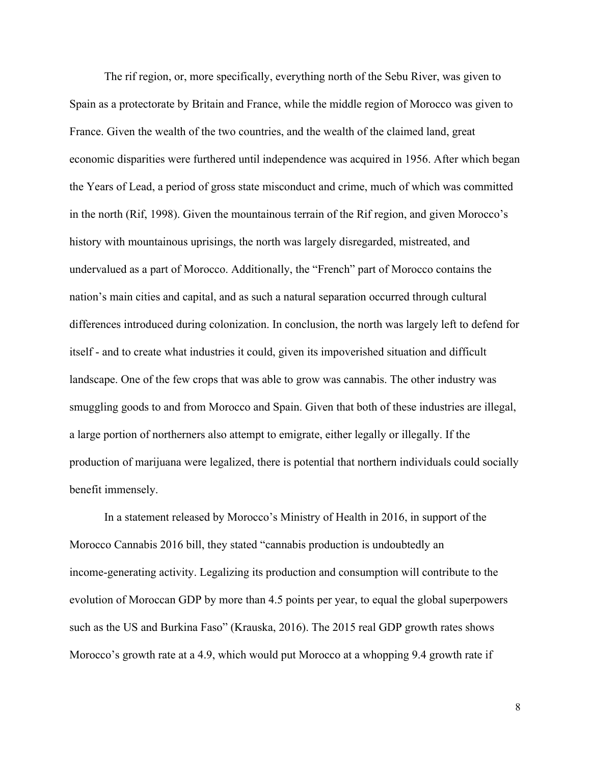The rif region, or, more specifically, everything north of the Sebu River, was given to Spain as a protectorate by Britain and France, while the middle region of Morocco was given to France. Given the wealth of the two countries, and the wealth of the claimed land, great economic disparities were furthered until independence was acquired in 1956. After which began the Years of Lead, a period of gross state misconduct and crime, much of which was committed in the north (Rif, 1998). Given the mountainous terrain of the Rif region, and given Morocco's history with mountainous uprisings, the north was largely disregarded, mistreated, and undervalued as a part of Morocco. Additionally, the "French" part of Morocco contains the nation's main cities and capital, and as such a natural separation occurred through cultural differences introduced during colonization. In conclusion, the north was largely left to defend for itself - and to create what industries it could, given its impoverished situation and difficult landscape. One of the few crops that was able to grow was cannabis. The other industry was smuggling goods to and from Morocco and Spain. Given that both of these industries are illegal, a large portion of northerners also attempt to emigrate, either legally or illegally. If the production of marijuana were legalized, there is potential that northern individuals could socially benefit immensely.

In a statement released by Morocco's Ministry of Health in 2016, in support of the Morocco Cannabis 2016 bill, they stated "cannabis production is undoubtedly an income-generating activity. Legalizing its production and consumption will contribute to the evolution of Moroccan GDP by more than 4.5 points per year, to equal the global superpowers such as the US and Burkina Faso" (Krauska, 2016). The 2015 real GDP growth rates shows Morocco's growth rate at a 4.9, which would put Morocco at a whopping 9.4 growth rate if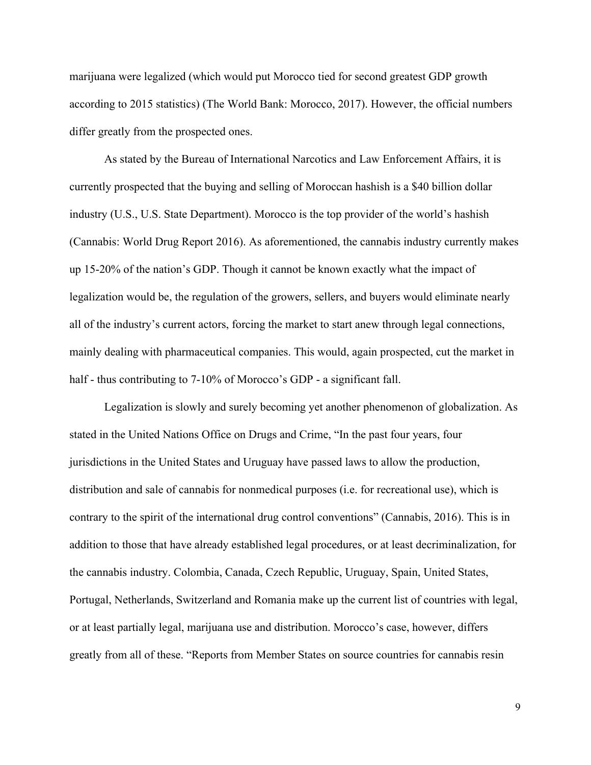marijuana were legalized (which would put Morocco tied for second greatest GDP growth according to 2015 statistics) (The World Bank: Morocco, 2017). However, the official numbers differ greatly from the prospected ones.

As stated by the Bureau of International Narcotics and Law Enforcement Affairs, it is currently prospected that the buying and selling of Moroccan hashish is a \$40 billion dollar industry (U.S., U.S. State Department). Morocco is the top provider of the world's hashish (Cannabis: World Drug Report 2016). As aforementioned, the cannabis industry currently makes up 15-20% of the nation's GDP. Though it cannot be known exactly what the impact of legalization would be, the regulation of the growers, sellers, and buyers would eliminate nearly all of the industry's current actors, forcing the market to start anew through legal connections, mainly dealing with pharmaceutical companies. This would, again prospected, cut the market in half - thus contributing to 7-10% of Morocco's GDP - a significant fall.

Legalization is slowly and surely becoming yet another phenomenon of globalization. As stated in the United Nations Office on Drugs and Crime, "In the past four years, four jurisdictions in the United States and Uruguay have passed laws to allow the production, distribution and sale of cannabis for nonmedical purposes (i.e. for recreational use), which is contrary to the spirit of the international drug control conventions" (Cannabis, 2016). This is in addition to those that have already established legal procedures, or at least decriminalization, for the cannabis industry. Colombia, Canada, Czech Republic, Uruguay, Spain, United States, Portugal, Netherlands, Switzerland and Romania make up the current list of countries with legal, or at least partially legal, marijuana use and distribution. Morocco's case, however, differs greatly from all of these. "Reports from Member States on source countries for cannabis resin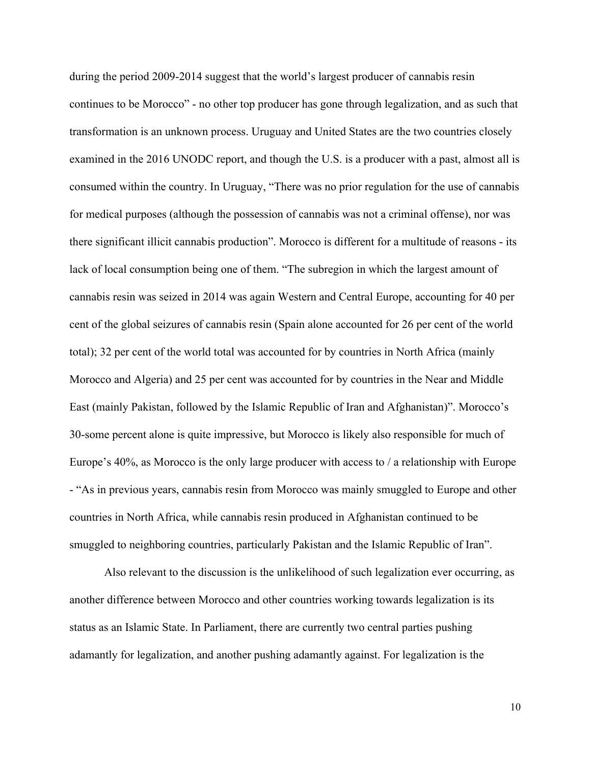during the period 2009-2014 suggest that the world's largest producer of cannabis resin continues to be Morocco" - no other top producer has gone through legalization, and as such that transformation is an unknown process. Uruguay and United States are the two countries closely examined in the 2016 UNODC report, and though the U.S. is a producer with a past, almost all is consumed within the country. In Uruguay, "There was no prior regulation for the use of cannabis for medical purposes (although the possession of cannabis was not a criminal offense), nor was there significant illicit cannabis production". Morocco is different for a multitude of reasons - its lack of local consumption being one of them. "The subregion in which the largest amount of cannabis resin was seized in 2014 was again Western and Central Europe, accounting for 40 per cent of the global seizures of cannabis resin (Spain alone accounted for 26 per cent of the world total); 32 per cent of the world total was accounted for by countries in North Africa (mainly Morocco and Algeria) and 25 per cent was accounted for by countries in the Near and Middle East (mainly Pakistan, followed by the Islamic Republic of Iran and Afghanistan)". Morocco's 30-some percent alone is quite impressive, but Morocco is likely also responsible for much of Europe's 40%, as Morocco is the only large producer with access to / a relationship with Europe - "As in previous years, cannabis resin from Morocco was mainly smuggled to Europe and other countries in North Africa, while cannabis resin produced in Afghanistan continued to be smuggled to neighboring countries, particularly Pakistan and the Islamic Republic of Iran".

Also relevant to the discussion is the unlikelihood of such legalization ever occurring, as another difference between Morocco and other countries working towards legalization is its status as an Islamic State. In Parliament, there are currently two central parties pushing adamantly for legalization, and another pushing adamantly against. For legalization is the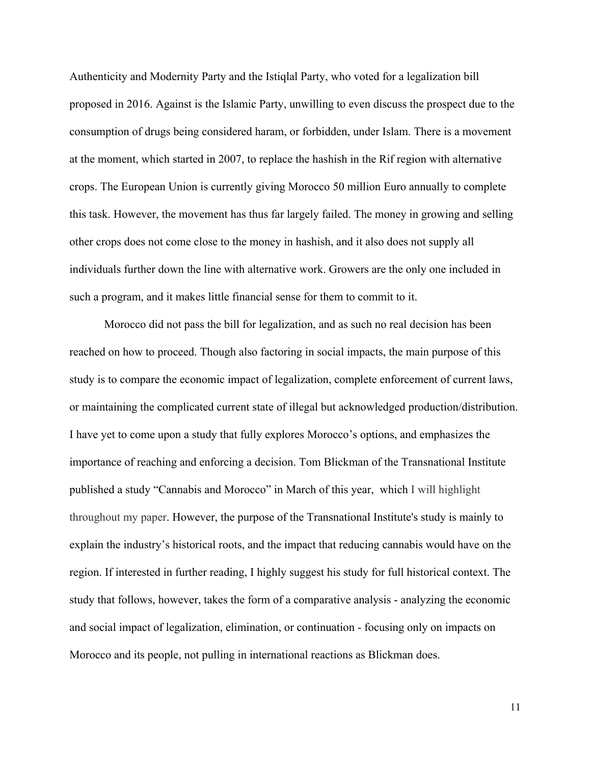Authenticity and Modernity Party and the Istiqlal Party, who voted for a legalization bill proposed in 2016. Against is the Islamic Party, unwilling to even discuss the prospect due to the consumption of drugs being considered haram, or forbidden, under Islam. There is a movement at the moment, which started in 2007, to replace the hashish in the Rif region with alternative crops. The European Union is currently giving Morocco 50 million Euro annually to complete this task. However, the movement has thus far largely failed. The money in growing and selling other crops does not come close to the money in hashish, and it also does not supply all individuals further down the line with alternative work. Growers are the only one included in such a program, and it makes little financial sense for them to commit to it.

Morocco did not pass the bill for legalization, and as such no real decision has been reached on how to proceed. Though also factoring in social impacts, the main purpose of this study is to compare the economic impact of legalization, complete enforcement of current laws, or maintaining the complicated current state of illegal but acknowledged production/distribution. I have yet to come upon a study that fully explores Morocco's options, and emphasizes the importance of reaching and enforcing a decision. Tom Blickman of the Transnational Institute published a study "Cannabis and Morocco" in March of this year, which I will highlight throughout my paper. However, the purpose of the Transnational Institute's study is mainly to explain the industry's historical roots, and the impact that reducing cannabis would have on the region. If interested in further reading, I highly suggest his study for full historical context. The study that follows, however, takes the form of a comparative analysis - analyzing the economic and social impact of legalization, elimination, or continuation - focusing only on impacts on Morocco and its people, not pulling in international reactions as Blickman does.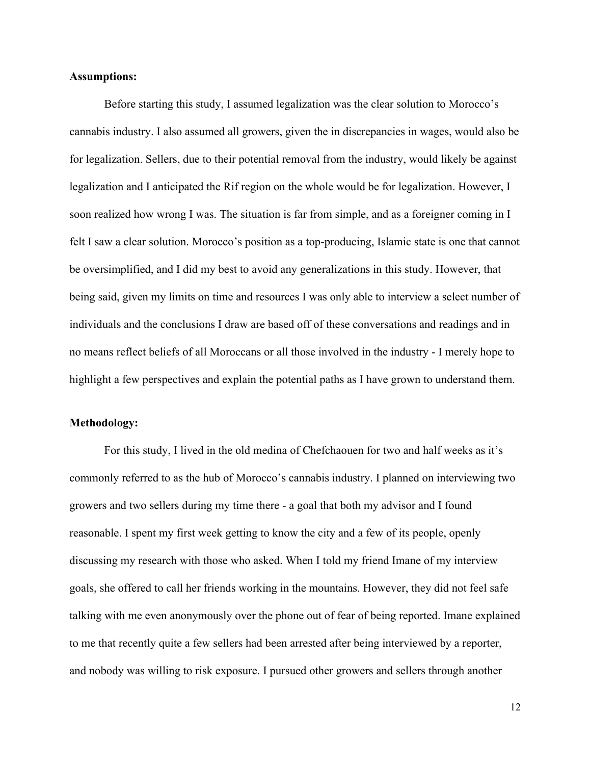#### <span id="page-13-0"></span>**Assumptions:**

Before starting this study, I assumed legalization was the clear solution to Morocco's cannabis industry. I also assumed all growers, given the in discrepancies in wages, would also be for legalization. Sellers, due to their potential removal from the industry, would likely be against legalization and I anticipated the Rif region on the whole would be for legalization. However, I soon realized how wrong I was. The situation is far from simple, and as a foreigner coming in I felt I saw a clear solution. Morocco's position as a top-producing, Islamic state is one that cannot be oversimplified, and I did my best to avoid any generalizations in this study. However, that being said, given my limits on time and resources I was only able to interview a select number of individuals and the conclusions I draw are based off of these conversations and readings and in no means reflect beliefs of all Moroccans or all those involved in the industry - I merely hope to highlight a few perspectives and explain the potential paths as I have grown to understand them.

#### **Methodology:**

For this study, I lived in the old medina of Chefchaouen for two and half weeks as it's commonly referred to as the hub of Morocco's cannabis industry. I planned on interviewing two growers and two sellers during my time there - a goal that both my advisor and I found reasonable. I spent my first week getting to know the city and a few of its people, openly discussing my research with those who asked. When I told my friend Imane of my interview goals, she offered to call her friends working in the mountains. However, they did not feel safe talking with me even anonymously over the phone out of fear of being reported. Imane explained to me that recently quite a few sellers had been arrested after being interviewed by a reporter, and nobody was willing to risk exposure. I pursued other growers and sellers through another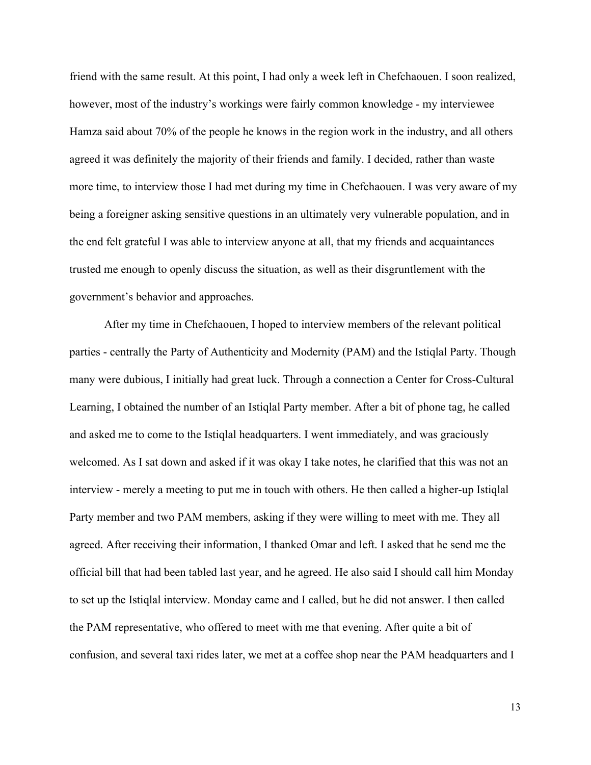friend with the same result. At this point, I had only a week left in Chefchaouen. I soon realized, however, most of the industry's workings were fairly common knowledge - my interviewee Hamza said about 70% of the people he knows in the region work in the industry, and all others agreed it was definitely the majority of their friends and family. I decided, rather than waste more time, to interview those I had met during my time in Chefchaouen. I was very aware of my being a foreigner asking sensitive questions in an ultimately very vulnerable population, and in the end felt grateful I was able to interview anyone at all, that my friends and acquaintances trusted me enough to openly discuss the situation, as well as their disgruntlement with the government's behavior and approaches.

After my time in Chefchaouen, I hoped to interview members of the relevant political parties - centrally the Party of Authenticity and Modernity (PAM) and the Istiqlal Party. Though many were dubious, I initially had great luck. Through a connection a Center for Cross-Cultural Learning, I obtained the number of an Istiqlal Party member. After a bit of phone tag, he called and asked me to come to the Istiqlal headquarters. I went immediately, and was graciously welcomed. As I sat down and asked if it was okay I take notes, he clarified that this was not an interview - merely a meeting to put me in touch with others. He then called a higher-up Istiqlal Party member and two PAM members, asking if they were willing to meet with me. They all agreed. After receiving their information, I thanked Omar and left. I asked that he send me the official bill that had been tabled last year, and he agreed. He also said I should call him Monday to set up the Istiqlal interview. Monday came and I called, but he did not answer. I then called the PAM representative, who offered to meet with me that evening. After quite a bit of confusion, and several taxi rides later, we met at a coffee shop near the PAM headquarters and I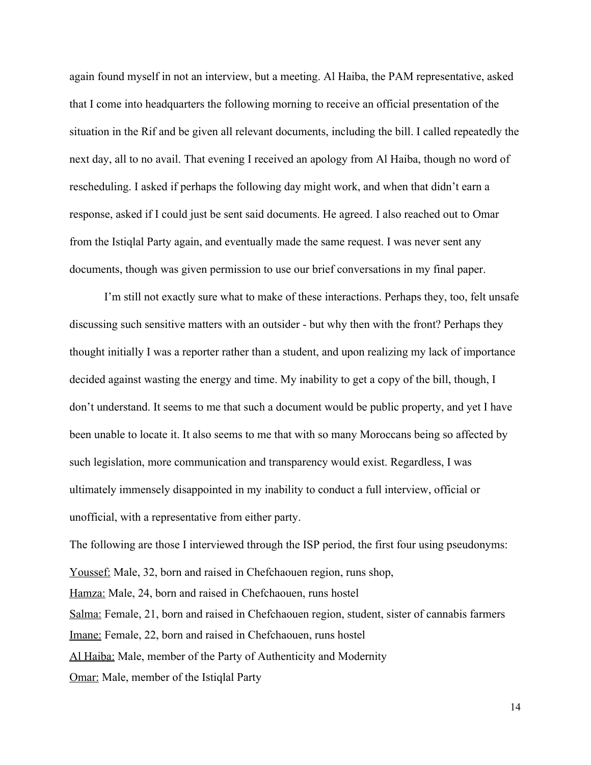again found myself in not an interview, but a meeting. Al Haiba, the PAM representative, asked that I come into headquarters the following morning to receive an official presentation of the situation in the Rif and be given all relevant documents, including the bill. I called repeatedly the next day, all to no avail. That evening I received an apology from Al Haiba, though no word of rescheduling. I asked if perhaps the following day might work, and when that didn't earn a response, asked if I could just be sent said documents. He agreed. I also reached out to Omar from the Istiqlal Party again, and eventually made the same request. I was never sent any documents, though was given permission to use our brief conversations in my final paper.

I'm still not exactly sure what to make of these interactions. Perhaps they, too, felt unsafe discussing such sensitive matters with an outsider - but why then with the front? Perhaps they thought initially I was a reporter rather than a student, and upon realizing my lack of importance decided against wasting the energy and time. My inability to get a copy of the bill, though, I don't understand. It seems to me that such a document would be public property, and yet I have been unable to locate it. It also seems to me that with so many Moroccans being so affected by such legislation, more communication and transparency would exist. Regardless, I was ultimately immensely disappointed in my inability to conduct a full interview, official or unofficial, with a representative from either party.

The following are those I interviewed through the ISP period, the first four using pseudonyms: Youssef: Male, 32, born and raised in Chefchaouen region, runs shop, Hamza: Male, 24, born and raised in Chefchaouen, runs hostel Salma: Female, 21, born and raised in Chefchaouen region, student, sister of cannabis farmers Imane: Female, 22, born and raised in Chefchaouen, runs hostel Al Haiba: Male, member of the Party of Authenticity and Modernity Omar: Male, member of the Istiqlal Party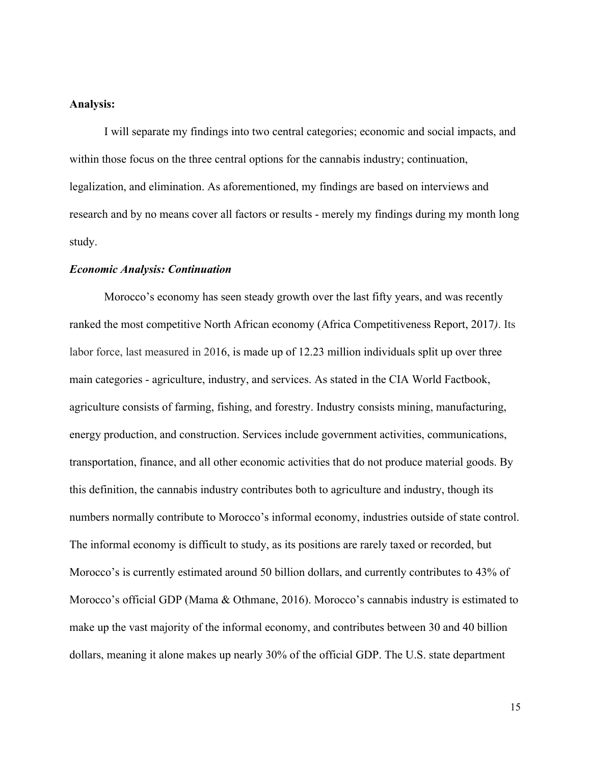#### <span id="page-16-0"></span>**Analysis:**

I will separate my findings into two central categories; economic and social impacts, and within those focus on the three central options for the cannabis industry; continuation, legalization, and elimination. As aforementioned, my findings are based on interviews and research and by no means cover all factors or results - merely my findings during my month long study.

#### <span id="page-16-1"></span>*Economic Analysis: Continuation*

Morocco's economy has seen steady growth over the last fifty years, and was recently ranked the most competitive North African economy (Africa Competitiveness Report, 2017*)*. Its labor force, last measured in 2016, is made up of 12.23 million individuals split up over three main categories - agriculture, industry, and services. As stated in the CIA World Factbook, agriculture consists of farming, fishing, and forestry. Industry consists mining, manufacturing, energy production, and construction. Services include government activities, communications, transportation, finance, and all other economic activities that do not produce material goods. By this definition, the cannabis industry contributes both to agriculture and industry, though its numbers normally contribute to Morocco's informal economy, industries outside of state control. The informal economy is difficult to study, as its positions are rarely taxed or recorded, but Morocco's is currently estimated around 50 billion dollars, and currently contributes to 43% of Morocco's official GDP (Mama & Othmane, 2016). Morocco's cannabis industry is estimated to make up the vast majority of the informal economy, and contributes between 30 and 40 billion dollars, meaning it alone makes up nearly 30% of the official GDP. The U.S. state department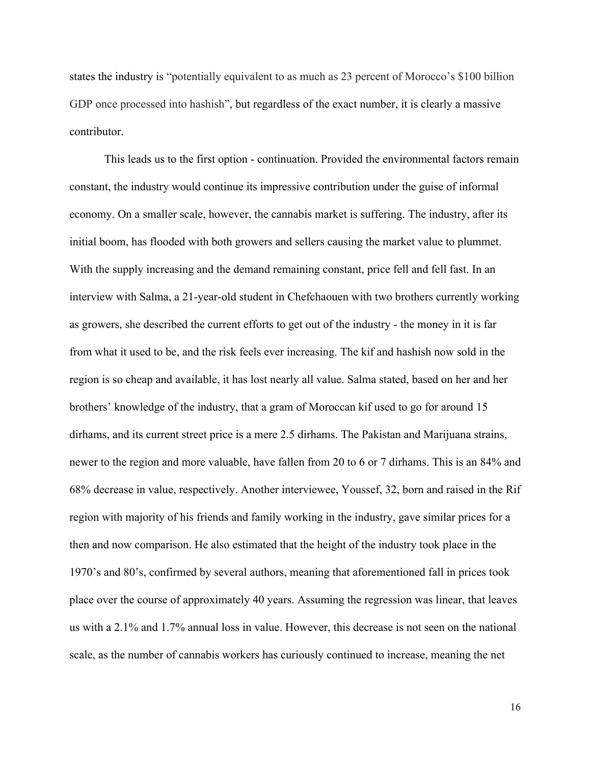states the industry is "potentially equivalent to as much as 23 percent of Morocco's \$100 billion GDP once processed into hashish", but regardless of the exact number, it is clearly a massive contributor.

This leads us to the first option - continuation. Provided the environmental factors remain constant, the industry would continue its impressive contribution under the guise of informal economy. On a smaller scale, however, the cannabis market is suffering. The industry, after its initial boom, has flooded with both growers and sellers causing the market value to plummet. With the supply increasing and the demand remaining constant, price fell and fell fast. In an interview with Salma, a 21-year-old student in Chefchaouen with two brothers currently working as growers, she described the current efforts to get out of the industry - the money in it is far from what it used to be, and the risk feels ever increasing. The kif and hashish now sold in the region is so cheap and available, it has lost nearly all value. Salma stated, based on her and her brothers' knowledge of the industry, that a gram of Moroccan kif used to go for around 15 dirhams, and its current street price is a mere 2.5 dirhams. The Pakistan and Marijuana strains, newer to the region and more valuable, have fallen from 20 to 6 or 7 dirhams. This is an 84% and 68% decrease in value, respectively. Another interviewee, Youssef, 32, born and raised in the Rif region with majority of his friends and family working in the industry, gave similar prices for a then and now comparison. He also estimated that the height of the industry took place in the 1970's and 80's, confirmed by several authors, meaning that aforementioned fall in prices took place over the course of approximately 40 years. Assuming the regression was linear, that leaves us with a 2.1% and 1.7% annual loss in value. However, this decrease is not seen on the national scale, as the number of cannabis workers has curiously continued to increase, meaning the net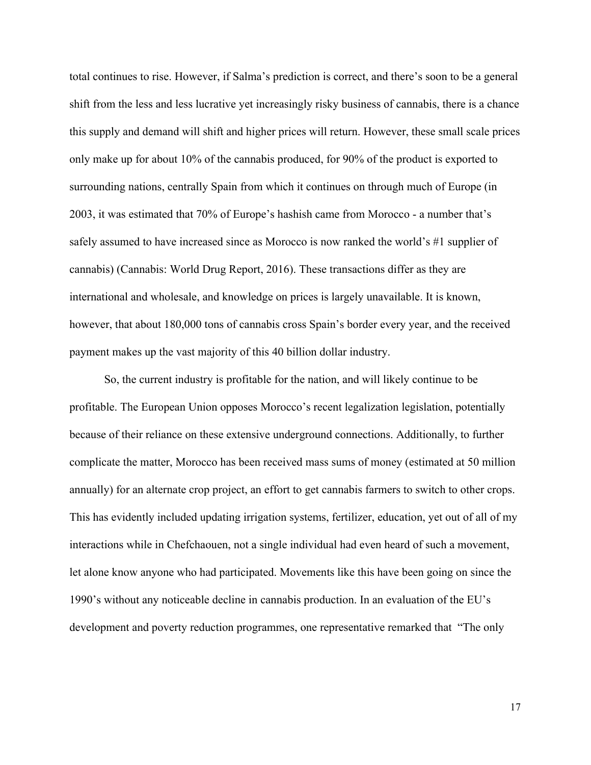total continues to rise. However, if Salma's prediction is correct, and there's soon to be a general shift from the less and less lucrative yet increasingly risky business of cannabis, there is a chance this supply and demand will shift and higher prices will return. However, these small scale prices only make up for about 10% of the cannabis produced, for 90% of the product is exported to surrounding nations, centrally Spain from which it continues on through much of Europe (in 2003, it was estimated that 70% of Europe's hashish came from Morocco - a number that's safely assumed to have increased since as Morocco is now ranked the world's #1 supplier of cannabis) (Cannabis: World Drug Report, 2016). These transactions differ as they are international and wholesale, and knowledge on prices is largely unavailable. It is known, however, that about 180,000 tons of cannabis cross Spain's border every year, and the received payment makes up the vast majority of this 40 billion dollar industry.

So, the current industry is profitable for the nation, and will likely continue to be profitable. The European Union opposes Morocco's recent legalization legislation, potentially because of their reliance on these extensive underground connections. Additionally, to further complicate the matter, Morocco has been received mass sums of money (estimated at 50 million annually) for an alternate crop project, an effort to get cannabis farmers to switch to other crops. This has evidently included updating irrigation systems, fertilizer, education, yet out of all of my interactions while in Chefchaouen, not a single individual had even heard of such a movement, let alone know anyone who had participated. Movements like this have been going on since the 1990's without any noticeable decline in cannabis production. In an evaluation of the EU's development and poverty reduction programmes, one representative remarked that "The only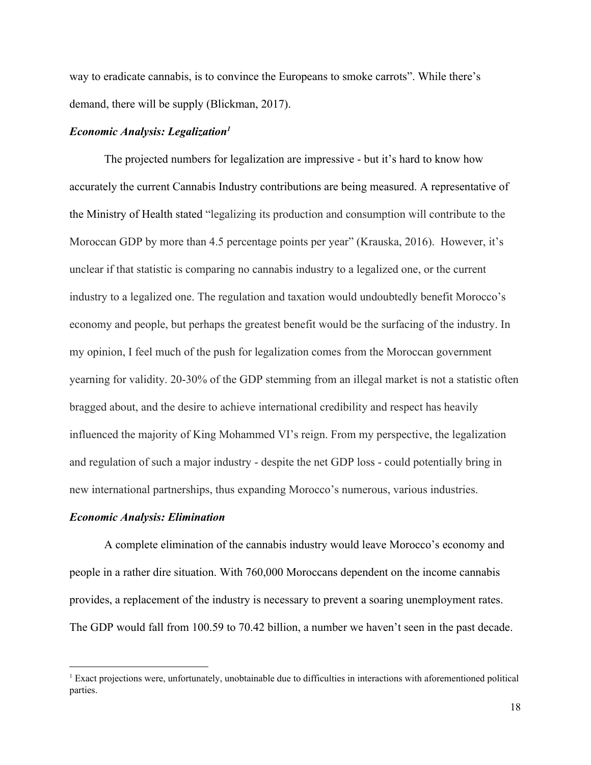way to eradicate cannabis, is to convince the Europeans to smoke carrots". While there's demand, there will be supply (Blickman, 2017).

#### *Economic Analysis: Legalization<sup>1</sup>*

The projected numbers for legalization are impressive - but it's hard to know how accurately the current Cannabis Industry contributions are being measured. A representative of the Ministry of Health stated "legalizing its production and consumption will contribute to the Moroccan GDP by more than 4.5 percentage points per year" (Krauska, 2016). However, it's unclear if that statistic is comparing no cannabis industry to a legalized one, or the current industry to a legalized one. The regulation and taxation would undoubtedly benefit Morocco's economy and people, but perhaps the greatest benefit would be the surfacing of the industry. In my opinion, I feel much of the push for legalization comes from the Moroccan government yearning for validity. 20-30% of the GDP stemming from an illegal market is not a statistic often bragged about, and the desire to achieve international credibility and respect has heavily influenced the majority of King Mohammed VI's reign. From my perspective, the legalization and regulation of such a major industry - despite the net GDP loss - could potentially bring in new international partnerships, thus expanding Morocco's numerous, various industries.

#### <span id="page-19-0"></span>*Economic Analysis: Elimination*

A complete elimination of the cannabis industry would leave Morocco's economy and people in a rather dire situation. With 760,000 Moroccans dependent on the income cannabis provides, a replacement of the industry is necessary to prevent a soaring unemployment rates. The GDP would fall from 100.59 to 70.42 billion, a number we haven't seen in the past decade.

<sup>1</sup> Exact projections were, unfortunately, unobtainable due to difficulties in interactions with aforementioned political parties.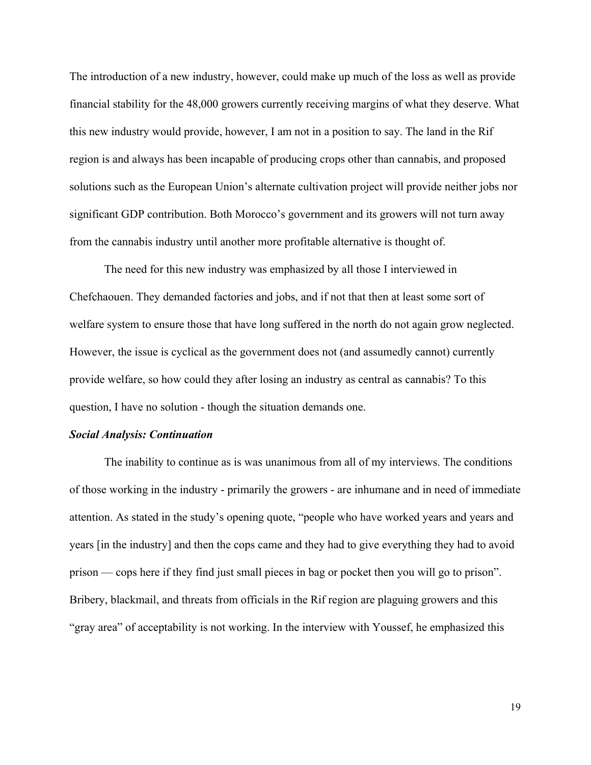The introduction of a new industry, however, could make up much of the loss as well as provide financial stability for the 48,000 growers currently receiving margins of what they deserve. What this new industry would provide, however, I am not in a position to say. The land in the Rif region is and always has been incapable of producing crops other than cannabis, and proposed solutions such as the European Union's alternate cultivation project will provide neither jobs nor significant GDP contribution. Both Morocco's government and its growers will not turn away from the cannabis industry until another more profitable alternative is thought of.

The need for this new industry was emphasized by all those I interviewed in Chefchaouen. They demanded factories and jobs, and if not that then at least some sort of welfare system to ensure those that have long suffered in the north do not again grow neglected. However, the issue is cyclical as the government does not (and assumedly cannot) currently provide welfare, so how could they after losing an industry as central as cannabis? To this question, I have no solution - though the situation demands one.

#### <span id="page-20-0"></span>*Social Analysis: Continuation*

The inability to continue as is was unanimous from all of my interviews. The conditions of those working in the industry - primarily the growers - are inhumane and in need of immediate attention. As stated in the study's opening quote, "people who have worked years and years and years [in the industry] and then the cops came and they had to give everything they had to avoid prison — cops here if they find just small pieces in bag or pocket then you will go to prison". Bribery, blackmail, and threats from officials in the Rif region are plaguing growers and this "gray area" of acceptability is not working. In the interview with Youssef, he emphasized this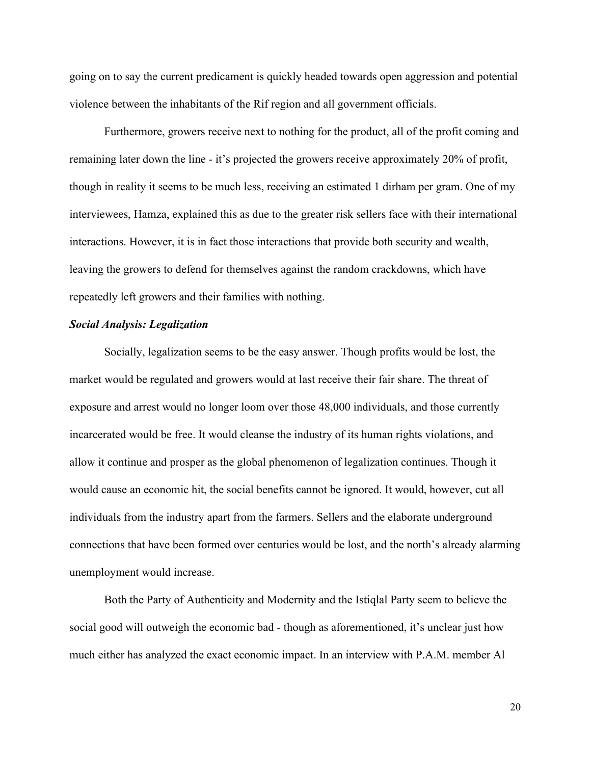going on to say the current predicament is quickly headed towards open aggression and potential violence between the inhabitants of the Rif region and all government officials.

Furthermore, growers receive next to nothing for the product, all of the profit coming and remaining later down the line - it's projected the growers receive approximately 20% of profit, though in reality it seems to be much less, receiving an estimated 1 dirham per gram. One of my interviewees, Hamza, explained this as due to the greater risk sellers face with their international interactions. However, it is in fact those interactions that provide both security and wealth, leaving the growers to defend for themselves against the random crackdowns, which have repeatedly left growers and their families with nothing.

#### <span id="page-21-0"></span>*Social Analysis: Legalization*

Socially, legalization seems to be the easy answer. Though profits would be lost, the market would be regulated and growers would at last receive their fair share. The threat of exposure and arrest would no longer loom over those 48,000 individuals, and those currently incarcerated would be free. It would cleanse the industry of its human rights violations, and allow it continue and prosper as the global phenomenon of legalization continues. Though it would cause an economic hit, the social benefits cannot be ignored. It would, however, cut all individuals from the industry apart from the farmers. Sellers and the elaborate underground connections that have been formed over centuries would be lost, and the north's already alarming unemployment would increase.

Both the Party of Authenticity and Modernity and the Istiqlal Party seem to believe the social good will outweigh the economic bad - though as aforementioned, it's unclear just how much either has analyzed the exact economic impact. In an interview with P.A.M. member Al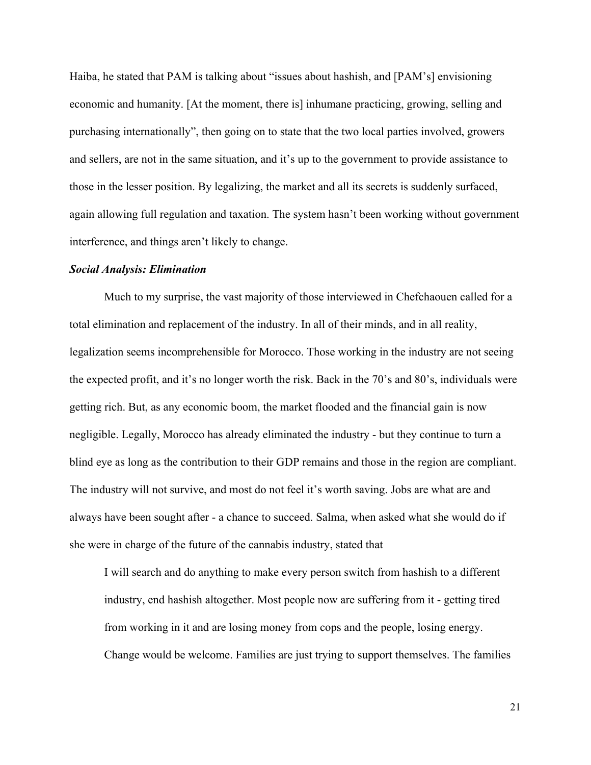Haiba, he stated that PAM is talking about "issues about hashish, and [PAM's] envisioning economic and humanity. [At the moment, there is] inhumane practicing, growing, selling and purchasing internationally", then going on to state that the two local parties involved, growers and sellers, are not in the same situation, and it's up to the government to provide assistance to those in the lesser position. By legalizing, the market and all its secrets is suddenly surfaced, again allowing full regulation and taxation. The system hasn't been working without government interference, and things aren't likely to change.

#### <span id="page-22-0"></span>*Social Analysis: Elimination*

Much to my surprise, the vast majority of those interviewed in Chefchaouen called for a total elimination and replacement of the industry. In all of their minds, and in all reality, legalization seems incomprehensible for Morocco. Those working in the industry are not seeing the expected profit, and it's no longer worth the risk. Back in the 70's and 80's, individuals were getting rich. But, as any economic boom, the market flooded and the financial gain is now negligible. Legally, Morocco has already eliminated the industry - but they continue to turn a blind eye as long as the contribution to their GDP remains and those in the region are compliant. The industry will not survive, and most do not feel it's worth saving. Jobs are what are and always have been sought after - a chance to succeed. Salma, when asked what she would do if she were in charge of the future of the cannabis industry, stated that

I will search and do anything to make every person switch from hashish to a different industry, end hashish altogether. Most people now are suffering from it - getting tired from working in it and are losing money from cops and the people, losing energy. Change would be welcome. Families are just trying to support themselves. The families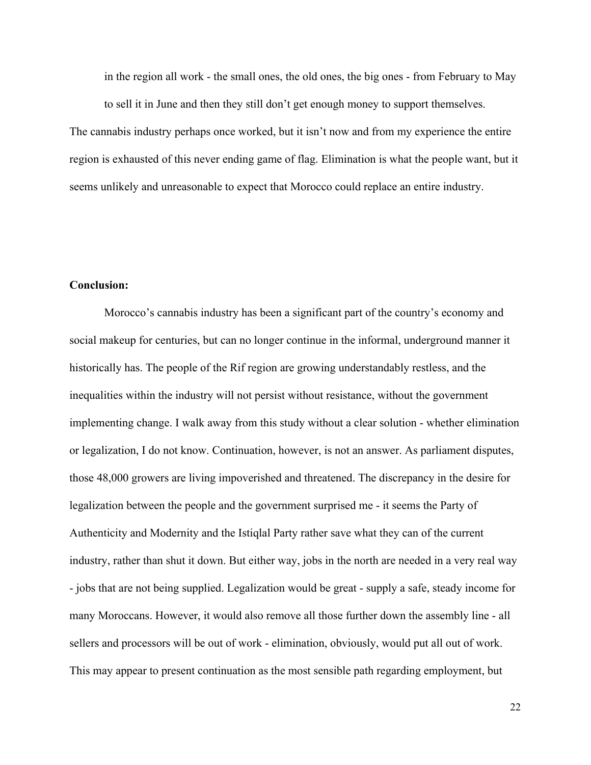in the region all work - the small ones, the old ones, the big ones - from February to May to sell it in June and then they still don't get enough money to support themselves.

The cannabis industry perhaps once worked, but it isn't now and from my experience the entire region is exhausted of this never ending game of flag. Elimination is what the people want, but it seems unlikely and unreasonable to expect that Morocco could replace an entire industry.

#### <span id="page-23-0"></span>**Conclusion:**

Morocco's cannabis industry has been a significant part of the country's economy and social makeup for centuries, but can no longer continue in the informal, underground manner it historically has. The people of the Rif region are growing understandably restless, and the inequalities within the industry will not persist without resistance, without the government implementing change. I walk away from this study without a clear solution - whether elimination or legalization, I do not know. Continuation, however, is not an answer. As parliament disputes, those 48,000 growers are living impoverished and threatened. The discrepancy in the desire for legalization between the people and the government surprised me - it seems the Party of Authenticity and Modernity and the Istiqlal Party rather save what they can of the current industry, rather than shut it down. But either way, jobs in the north are needed in a very real way - jobs that are not being supplied. Legalization would be great - supply a safe, steady income for many Moroccans. However, it would also remove all those further down the assembly line - all sellers and processors will be out of work - elimination, obviously, would put all out of work. This may appear to present continuation as the most sensible path regarding employment, but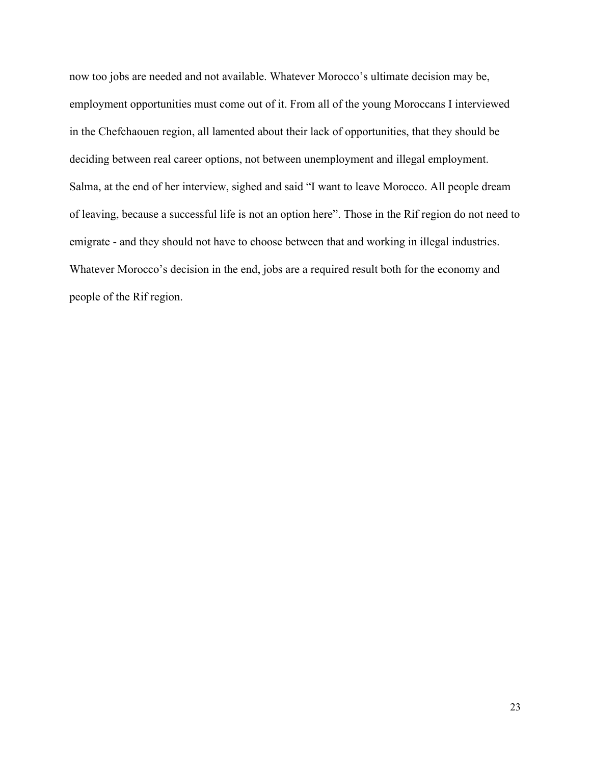now too jobs are needed and not available. Whatever Morocco's ultimate decision may be, employment opportunities must come out of it. From all of the young Moroccans I interviewed in the Chefchaouen region, all lamented about their lack of opportunities, that they should be deciding between real career options, not between unemployment and illegal employment. Salma, at the end of her interview, sighed and said "I want to leave Morocco. All people dream of leaving, because a successful life is not an option here". Those in the Rif region do not need to emigrate - and they should not have to choose between that and working in illegal industries. Whatever Morocco's decision in the end, jobs are a required result both for the economy and people of the Rif region.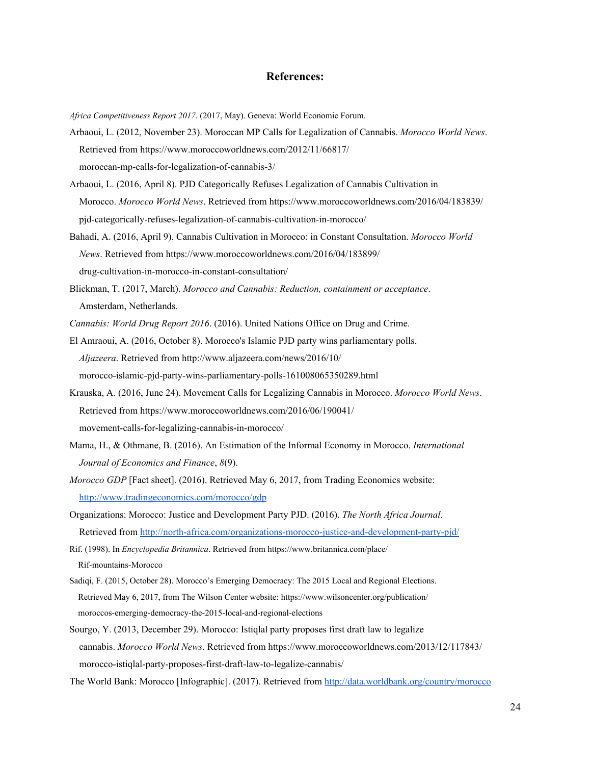#### **References:**

<span id="page-25-0"></span>*Africa Competitiveness Report 2017*. (2017, May). Geneva: World Economic Forum.

- Arbaoui, L. (2012, November 23). Moroccan MP Calls for Legalization of Cannabis. *Morocco World News*. Retrieved from https://www.moroccoworldnews.com/2012/11/66817/ moroccan-mp-calls-for-legalization-of-cannabis-3/
- Arbaoui, L. (2016, April 8). PJD Categorically Refuses Legalization of Cannabis Cultivation in Morocco. *Morocco World News*. Retrieved from https://www.moroccoworldnews.com/2016/04/183839/ pjd-categorically-refuses-legalization-of-cannabis-cultivation-in-morocco/
- Bahadi, A. (2016, April 9). Cannabis Cultivation in Morocco: in Constant Consultation. *Morocco World News*. Retrieved from https://www.moroccoworldnews.com/2016/04/183899/ drug-cultivation-in-morocco-in-constant-consultation/
- Blickman, T. (2017, March). *Morocco and Cannabis: Reduction, containment or acceptance*. Amsterdam, Netherlands.
- *Cannabis: World Drug Report 2016*. (2016). United Nations Office on Drug and Crime.
- El Amraoui, A. (2016, October 8). Morocco's Islamic PJD party wins parliamentary polls. *Aljazeera*. Retrieved from http://www.aljazeera.com/news/2016/10/ morocco-islamic-pjd-party-wins-parliamentary-polls-161008065350289.html
- Krauska, A. (2016, June 24). Movement Calls for Legalizing Cannabis in Morocco. *Morocco World News*. Retrieved from https://www.moroccoworldnews.com/2016/06/190041/ movement-calls-for-legalizing-cannabis-in-morocco/
- Mama, H., & Othmane, B. (2016). An Estimation of the Informal Economy in Morocco. *International Journal of Economics and Finance*, *8*(9).
- *Morocco GDP* [Fact sheet]. (2016). Retrieved May 6, 2017, from Trading Economics website: <http://www.tradingeconomics.com/morocco/gdp>
- Organizations: Morocco: Justice and Development Party PJD. (2016). *The North Africa Journal*. Retrieved from <http://north-africa.com/organizations-morocco-justice-and-development-party-pjd/>
- Rif. (1998). In *Encyclopedia Britannica*. Retrieved from https://www.britannica.com/place/ Rif-mountains-Morocco
- Sadiqi, F. (2015, October 28). Morocco's Emerging Democracy: The 2015 Local and Regional Elections. Retrieved May 6, 2017, from The Wilson Center website: https://www.wilsoncenter.org/publication/ moroccos-emerging-democracy-the-2015-local-and-regional-elections
- Sourgo, Y. (2013, December 29). Morocco: Istiqlal party proposes first draft law to legalize cannabis. *Morocco World News*. Retrieved from https://www.moroccoworldnews.com/2013/12/117843/ morocco-istiqlal-party-proposes-first-draft-law-to-legalize-cannabis/
- The World Bank: Morocco [Infographic]. (2017). Retrieved from <http://data.worldbank.org/country/morocco>